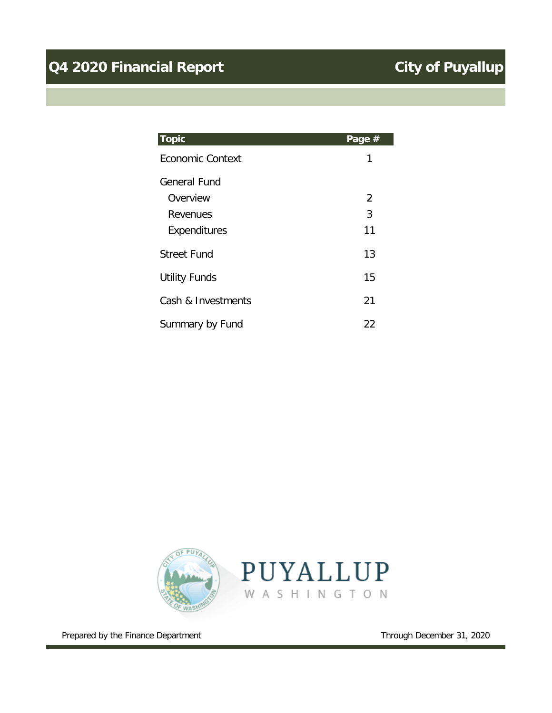| <b>Topic</b>         | Page # |
|----------------------|--------|
| Economic Context     | 1      |
| <b>General Fund</b>  |        |
| Overview             | 2      |
| Revenues             | 3      |
| Expenditures         | 11     |
| <b>Street Fund</b>   | 13     |
| <b>Utility Funds</b> | 15     |
| Cash & Investments   | 21     |
| Summary by Fund      | 22     |



Prepared by the Finance Department Through December 31, 2020